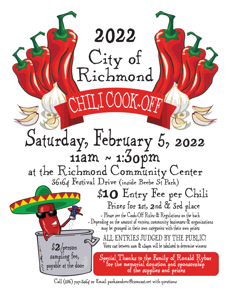